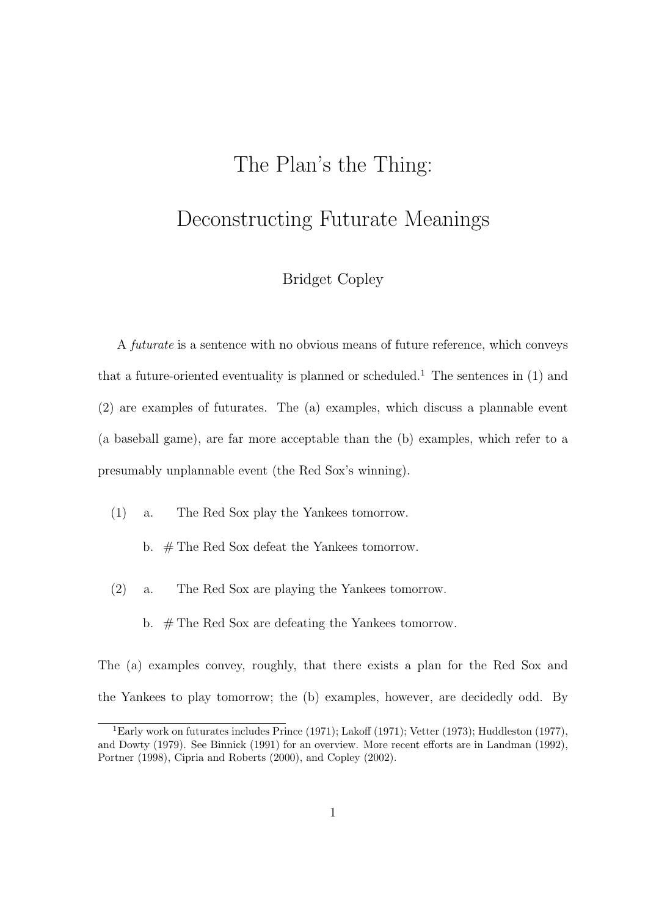# The Plan's the Thing:

# Deconstructing Futurate Meanings

### Bridget Copley

A futurate is a sentence with no obvious means of future reference, which conveys that a future-oriented eventuality is planned or scheduled.<sup>1</sup> The sentences in  $(1)$  and (2) are examples of futurates. The (a) examples, which discuss a plannable event (a baseball game), are far more acceptable than the (b) examples, which refer to a presumably unplannable event (the Red Sox's winning).

- (1) a. The Red Sox play the Yankees tomorrow.
	- b. # The Red Sox defeat the Yankees tomorrow.
- (2) a. The Red Sox are playing the Yankees tomorrow.
	- b. # The Red Sox are defeating the Yankees tomorrow.

The (a) examples convey, roughly, that there exists a plan for the Red Sox and the Yankees to play tomorrow; the (b) examples, however, are decidedly odd. By

<sup>&</sup>lt;sup>1</sup>Early work on futurates includes Prince (1971); Lakoff (1971); Vetter (1973); Huddleston (1977), and Dowty (1979). See Binnick (1991) for an overview. More recent efforts are in Landman (1992), Portner (1998), Cipria and Roberts (2000), and Copley (2002).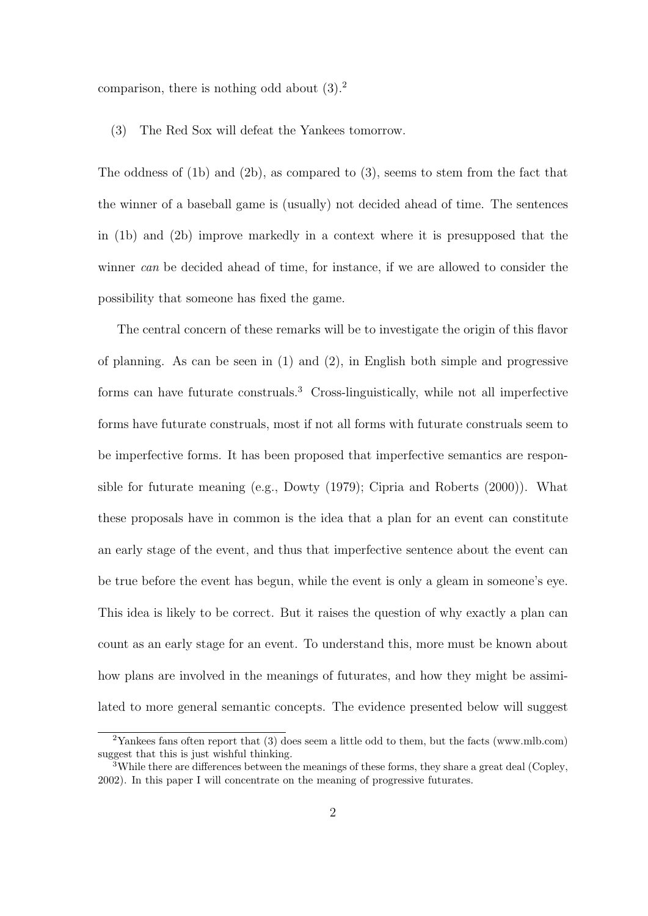comparison, there is nothing odd about (3).<sup>2</sup>

(3) The Red Sox will defeat the Yankees tomorrow.

The oddness of (1b) and (2b), as compared to (3), seems to stem from the fact that the winner of a baseball game is (usually) not decided ahead of time. The sentences in (1b) and (2b) improve markedly in a context where it is presupposed that the winner *can* be decided ahead of time, for instance, if we are allowed to consider the possibility that someone has fixed the game.

The central concern of these remarks will be to investigate the origin of this flavor of planning. As can be seen in (1) and (2), in English both simple and progressive forms can have futurate construals.<sup>3</sup> Cross-linguistically, while not all imperfective forms have futurate construals, most if not all forms with futurate construals seem to be imperfective forms. It has been proposed that imperfective semantics are responsible for futurate meaning (e.g., Dowty (1979); Cipria and Roberts (2000)). What these proposals have in common is the idea that a plan for an event can constitute an early stage of the event, and thus that imperfective sentence about the event can be true before the event has begun, while the event is only a gleam in someone's eye. This idea is likely to be correct. But it raises the question of why exactly a plan can count as an early stage for an event. To understand this, more must be known about how plans are involved in the meanings of futurates, and how they might be assimilated to more general semantic concepts. The evidence presented below will suggest

<sup>&</sup>lt;sup>2</sup>Yankees fans often report that (3) does seem a little odd to them, but the facts (www.mlb.com) suggest that this is just wishful thinking.

<sup>&</sup>lt;sup>3</sup>While there are differences between the meanings of these forms, they share a great deal (Copley, 2002). In this paper I will concentrate on the meaning of progressive futurates.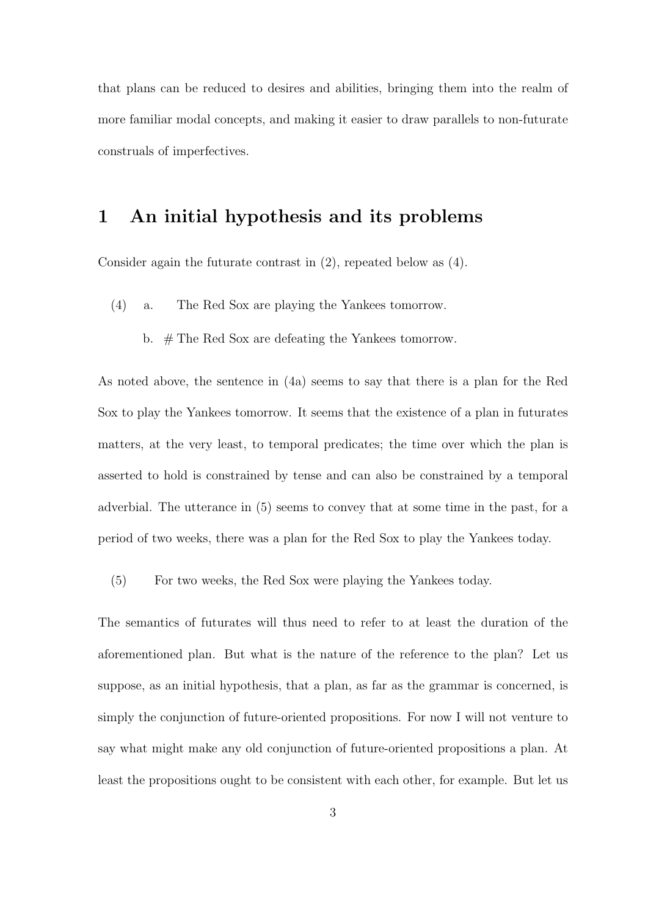that plans can be reduced to desires and abilities, bringing them into the realm of more familiar modal concepts, and making it easier to draw parallels to non-futurate construals of imperfectives.

## 1 An initial hypothesis and its problems

Consider again the futurate contrast in (2), repeated below as (4).

- (4) a. The Red Sox are playing the Yankees tomorrow.
	- b. # The Red Sox are defeating the Yankees tomorrow.

As noted above, the sentence in (4a) seems to say that there is a plan for the Red Sox to play the Yankees tomorrow. It seems that the existence of a plan in futurates matters, at the very least, to temporal predicates; the time over which the plan is asserted to hold is constrained by tense and can also be constrained by a temporal adverbial. The utterance in (5) seems to convey that at some time in the past, for a period of two weeks, there was a plan for the Red Sox to play the Yankees today.

(5) For two weeks, the Red Sox were playing the Yankees today.

The semantics of futurates will thus need to refer to at least the duration of the aforementioned plan. But what is the nature of the reference to the plan? Let us suppose, as an initial hypothesis, that a plan, as far as the grammar is concerned, is simply the conjunction of future-oriented propositions. For now I will not venture to say what might make any old conjunction of future-oriented propositions a plan. At least the propositions ought to be consistent with each other, for example. But let us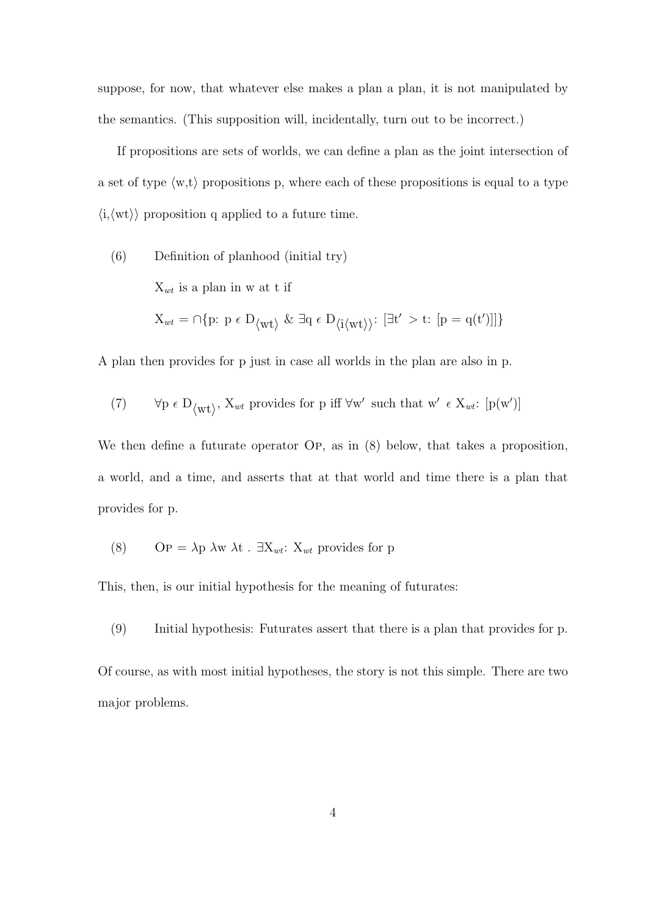suppose, for now, that whatever else makes a plan a plan, it is not manipulated by the semantics. (This supposition will, incidentally, turn out to be incorrect.)

If propositions are sets of worlds, we can define a plan as the joint intersection of a set of type  $\langle w,t \rangle$  propositions p, where each of these propositions is equal to a type  $\langle i, \langle \text{wt} \rangle \rangle$  proposition q applied to a future time.

(6) Definition of planhood (initial try)  $X_{wt}$  is a plan in w at t if  $X_{wt} = \bigcap \{p: p \in D_{\langle wt \rangle} \& \exists q \in D_{\langle i \langle wt \rangle \rangle}: [\exists t' > t: [p = q(t')] ]\}$ 

A plan then provides for p just in case all worlds in the plan are also in p.

(7) 
$$
\forall p \in D_{\text{w}t}, X_{wt} \text{ provides for } p \text{ iff } \forall w' \text{ such that } w' \in X_{wt}: [p(w')]
$$

We then define a futurate operator OP, as in  $(8)$  below, that takes a proposition, a world, and a time, and asserts that at that world and time there is a plan that provides for p.

(8) 
$$
OP = \lambda p \lambda w \lambda t \quad \exists X_{wt}: X_{wt} \text{ provides for } p
$$

This, then, is our initial hypothesis for the meaning of futurates:

(9) Initial hypothesis: Futurates assert that there is a plan that provides for p.

Of course, as with most initial hypotheses, the story is not this simple. There are two major problems.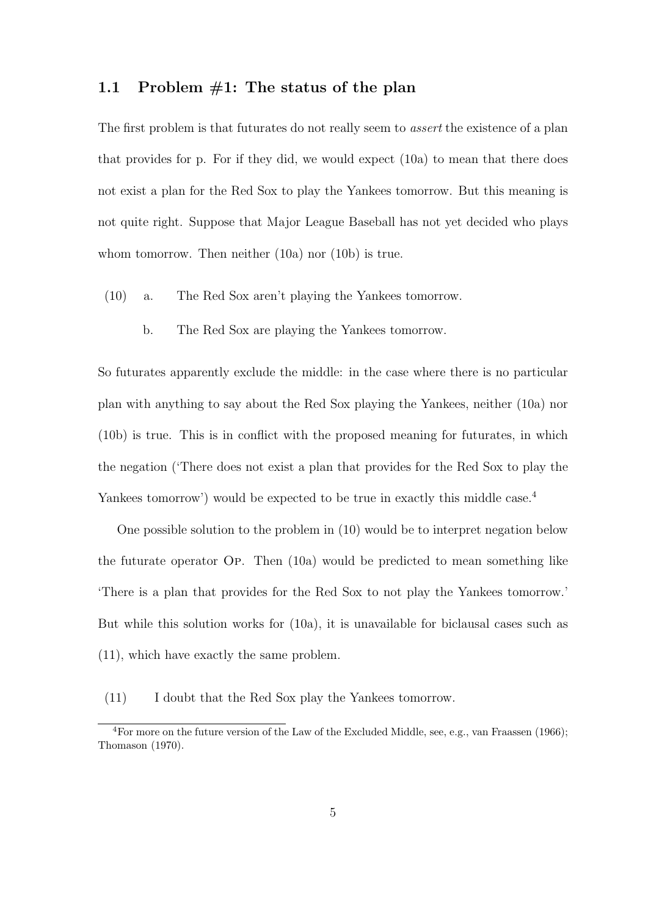### 1.1 Problem  $#1$ : The status of the plan

The first problem is that futurates do not really seem to *assert* the existence of a plan that provides for p. For if they did, we would expect (10a) to mean that there does not exist a plan for the Red Sox to play the Yankees tomorrow. But this meaning is not quite right. Suppose that Major League Baseball has not yet decided who plays whom tomorrow. Then neither  $(10a)$  nor  $(10b)$  is true.

- (10) a. The Red Sox aren't playing the Yankees tomorrow.
	- b. The Red Sox are playing the Yankees tomorrow.

So futurates apparently exclude the middle: in the case where there is no particular plan with anything to say about the Red Sox playing the Yankees, neither (10a) nor (10b) is true. This is in conflict with the proposed meaning for futurates, in which the negation ('There does not exist a plan that provides for the Red Sox to play the Yankees tomorrow') would be expected to be true in exactly this middle case.<sup>4</sup>

One possible solution to the problem in (10) would be to interpret negation below the futurate operator Op. Then (10a) would be predicted to mean something like 'There is a plan that provides for the Red Sox to not play the Yankees tomorrow.' But while this solution works for (10a), it is unavailable for biclausal cases such as (11), which have exactly the same problem.

(11) I doubt that the Red Sox play the Yankees tomorrow.

<sup>4</sup>For more on the future version of the Law of the Excluded Middle, see, e.g., van Fraassen (1966); Thomason (1970).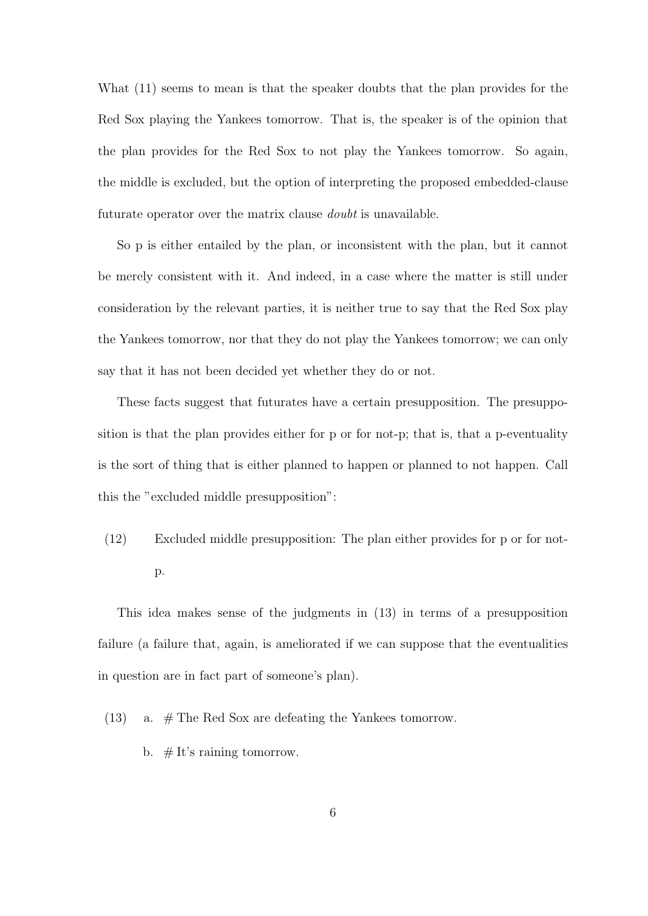What  $(11)$  seems to mean is that the speaker doubts that the plan provides for the Red Sox playing the Yankees tomorrow. That is, the speaker is of the opinion that the plan provides for the Red Sox to not play the Yankees tomorrow. So again, the middle is excluded, but the option of interpreting the proposed embedded-clause futurate operator over the matrix clause doubt is unavailable.

So p is either entailed by the plan, or inconsistent with the plan, but it cannot be merely consistent with it. And indeed, in a case where the matter is still under consideration by the relevant parties, it is neither true to say that the Red Sox play the Yankees tomorrow, nor that they do not play the Yankees tomorrow; we can only say that it has not been decided yet whether they do or not.

These facts suggest that futurates have a certain presupposition. The presupposition is that the plan provides either for p or for not-p; that is, that a p-eventuality is the sort of thing that is either planned to happen or planned to not happen. Call this the "excluded middle presupposition":

(12) Excluded middle presupposition: The plan either provides for p or for notp.

This idea makes sense of the judgments in (13) in terms of a presupposition failure (a failure that, again, is ameliorated if we can suppose that the eventualities in question are in fact part of someone's plan).

- (13) a. # The Red Sox are defeating the Yankees tomorrow.
	- b.  $#$  It's raining tomorrow.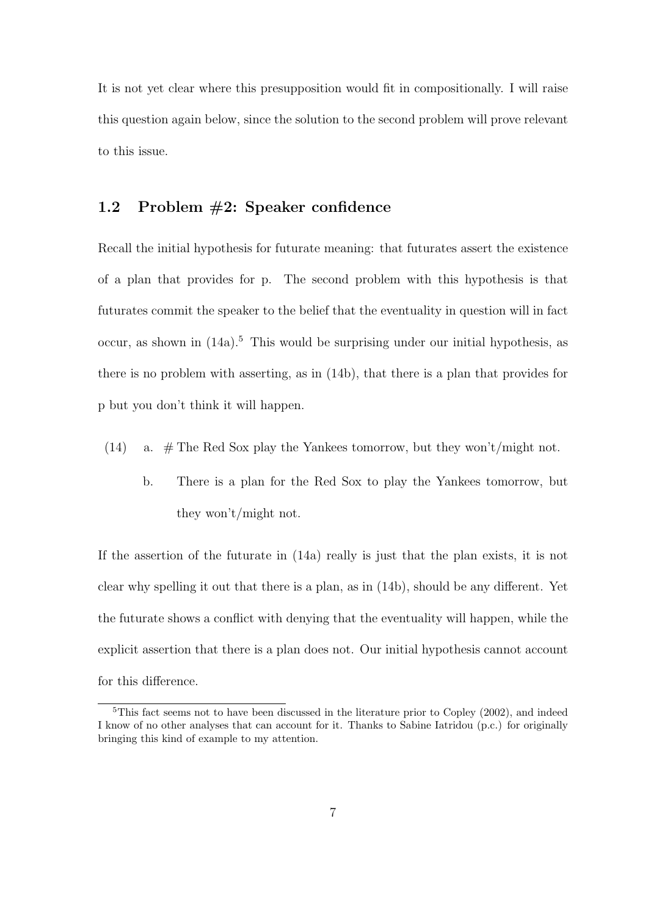It is not yet clear where this presupposition would fit in compositionally. I will raise this question again below, since the solution to the second problem will prove relevant to this issue.

### 1.2 Problem #2: Speaker confidence

Recall the initial hypothesis for futurate meaning: that futurates assert the existence of a plan that provides for p. The second problem with this hypothesis is that futurates commit the speaker to the belief that the eventuality in question will in fact occur, as shown in  $(14a)$ <sup>5</sup>. This would be surprising under our initial hypothesis, as there is no problem with asserting, as in (14b), that there is a plan that provides for p but you don't think it will happen.

- (14) a.  $\#$  The Red Sox play the Yankees tomorrow, but they won't/might not.
	- b. There is a plan for the Red Sox to play the Yankees tomorrow, but they won't/might not.

If the assertion of the futurate in (14a) really is just that the plan exists, it is not clear why spelling it out that there is a plan, as in (14b), should be any different. Yet the futurate shows a conflict with denying that the eventuality will happen, while the explicit assertion that there is a plan does not. Our initial hypothesis cannot account for this difference.

<sup>&</sup>lt;sup>5</sup>This fact seems not to have been discussed in the literature prior to Copley (2002), and indeed I know of no other analyses that can account for it. Thanks to Sabine Iatridou (p.c.) for originally bringing this kind of example to my attention.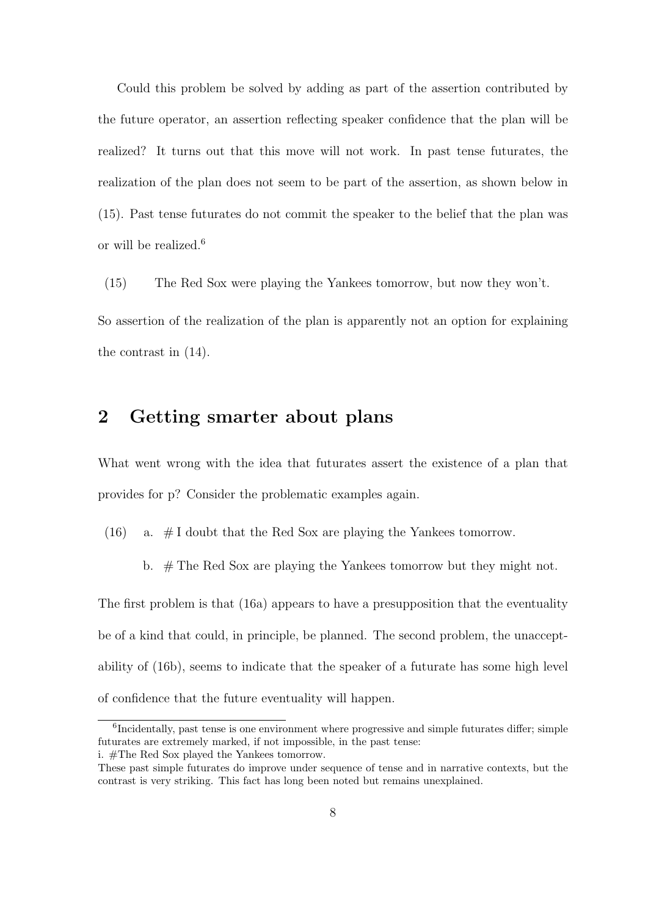Could this problem be solved by adding as part of the assertion contributed by the future operator, an assertion reflecting speaker confidence that the plan will be realized? It turns out that this move will not work. In past tense futurates, the realization of the plan does not seem to be part of the assertion, as shown below in (15). Past tense futurates do not commit the speaker to the belief that the plan was or will be realized.<sup>6</sup>

(15) The Red Sox were playing the Yankees tomorrow, but now they won't.

So assertion of the realization of the plan is apparently not an option for explaining the contrast in (14).

## 2 Getting smarter about plans

What went wrong with the idea that futurates assert the existence of a plan that provides for p? Consider the problematic examples again.

(16) a.  $\#$ I doubt that the Red Sox are playing the Yankees tomorrow.

b. # The Red Sox are playing the Yankees tomorrow but they might not.

The first problem is that (16a) appears to have a presupposition that the eventuality be of a kind that could, in principle, be planned. The second problem, the unacceptability of (16b), seems to indicate that the speaker of a futurate has some high level of confidence that the future eventuality will happen.

<sup>&</sup>lt;sup>6</sup>Incidentally, past tense is one environment where progressive and simple futurates differ; simple futurates are extremely marked, if not impossible, in the past tense: i. #The Red Sox played the Yankees tomorrow.

These past simple futurates do improve under sequence of tense and in narrative contexts, but the contrast is very striking. This fact has long been noted but remains unexplained.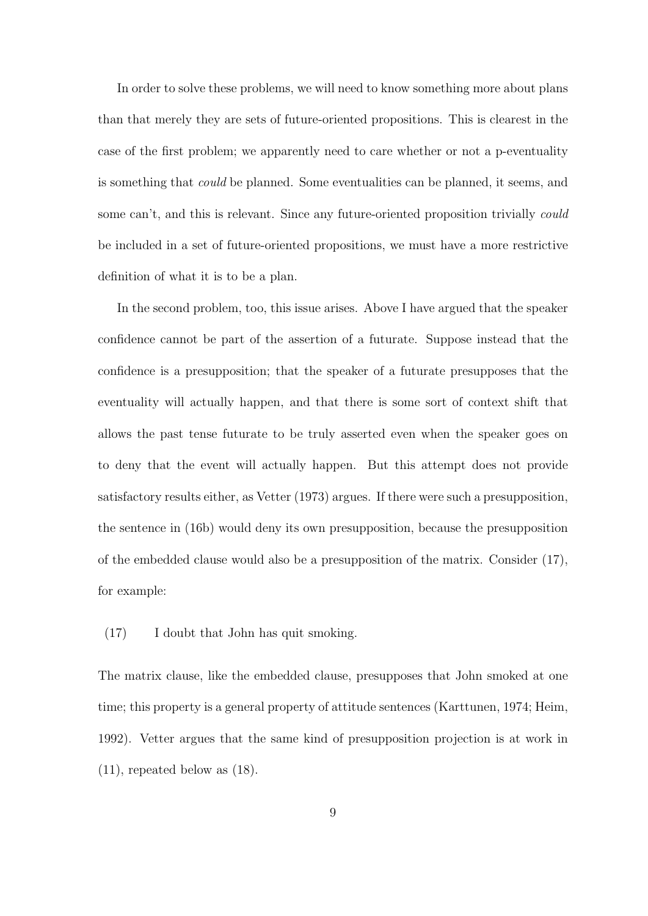In order to solve these problems, we will need to know something more about plans than that merely they are sets of future-oriented propositions. This is clearest in the case of the first problem; we apparently need to care whether or not a p-eventuality is something that could be planned. Some eventualities can be planned, it seems, and some can't, and this is relevant. Since any future-oriented proposition trivially *could* be included in a set of future-oriented propositions, we must have a more restrictive definition of what it is to be a plan.

In the second problem, too, this issue arises. Above I have argued that the speaker confidence cannot be part of the assertion of a futurate. Suppose instead that the confidence is a presupposition; that the speaker of a futurate presupposes that the eventuality will actually happen, and that there is some sort of context shift that allows the past tense futurate to be truly asserted even when the speaker goes on to deny that the event will actually happen. But this attempt does not provide satisfactory results either, as Vetter (1973) argues. If there were such a presupposition, the sentence in (16b) would deny its own presupposition, because the presupposition of the embedded clause would also be a presupposition of the matrix. Consider (17), for example:

#### (17) I doubt that John has quit smoking.

The matrix clause, like the embedded clause, presupposes that John smoked at one time; this property is a general property of attitude sentences (Karttunen, 1974; Heim, 1992). Vetter argues that the same kind of presupposition projection is at work in (11), repeated below as (18).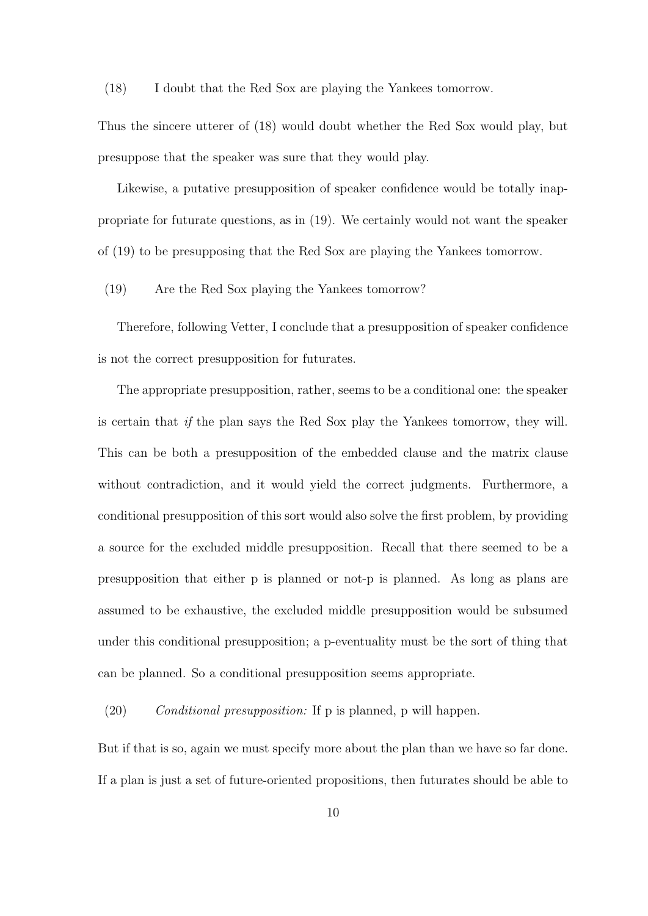(18) I doubt that the Red Sox are playing the Yankees tomorrow.

Thus the sincere utterer of (18) would doubt whether the Red Sox would play, but presuppose that the speaker was sure that they would play.

Likewise, a putative presupposition of speaker confidence would be totally inappropriate for futurate questions, as in (19). We certainly would not want the speaker of (19) to be presupposing that the Red Sox are playing the Yankees tomorrow.

(19) Are the Red Sox playing the Yankees tomorrow?

Therefore, following Vetter, I conclude that a presupposition of speaker confidence is not the correct presupposition for futurates.

The appropriate presupposition, rather, seems to be a conditional one: the speaker is certain that if the plan says the Red Sox play the Yankees tomorrow, they will. This can be both a presupposition of the embedded clause and the matrix clause without contradiction, and it would yield the correct judgments. Furthermore, a conditional presupposition of this sort would also solve the first problem, by providing a source for the excluded middle presupposition. Recall that there seemed to be a presupposition that either p is planned or not-p is planned. As long as plans are assumed to be exhaustive, the excluded middle presupposition would be subsumed under this conditional presupposition; a p-eventuality must be the sort of thing that can be planned. So a conditional presupposition seems appropriate.

(20) Conditional presupposition: If p is planned, p will happen.

But if that is so, again we must specify more about the plan than we have so far done. If a plan is just a set of future-oriented propositions, then futurates should be able to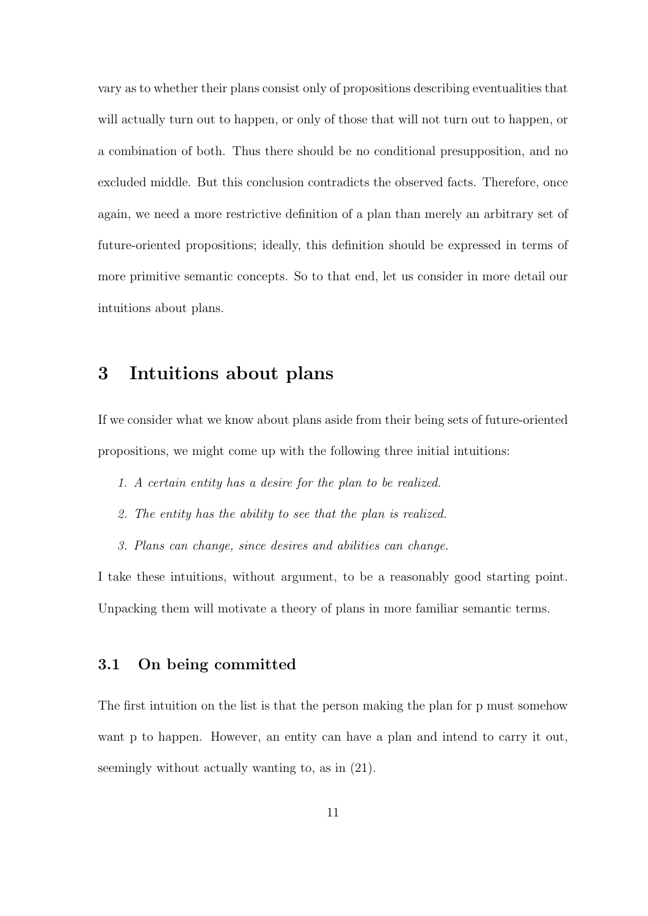vary as to whether their plans consist only of propositions describing eventualities that will actually turn out to happen, or only of those that will not turn out to happen, or a combination of both. Thus there should be no conditional presupposition, and no excluded middle. But this conclusion contradicts the observed facts. Therefore, once again, we need a more restrictive definition of a plan than merely an arbitrary set of future-oriented propositions; ideally, this definition should be expressed in terms of more primitive semantic concepts. So to that end, let us consider in more detail our intuitions about plans.

### 3 Intuitions about plans

If we consider what we know about plans aside from their being sets of future-oriented propositions, we might come up with the following three initial intuitions:

- 1. A certain entity has a desire for the plan to be realized.
- 2. The entity has the ability to see that the plan is realized.
- 3. Plans can change, since desires and abilities can change.

I take these intuitions, without argument, to be a reasonably good starting point. Unpacking them will motivate a theory of plans in more familiar semantic terms.

### 3.1 On being committed

The first intuition on the list is that the person making the plan for p must somehow want p to happen. However, an entity can have a plan and intend to carry it out, seemingly without actually wanting to, as in (21).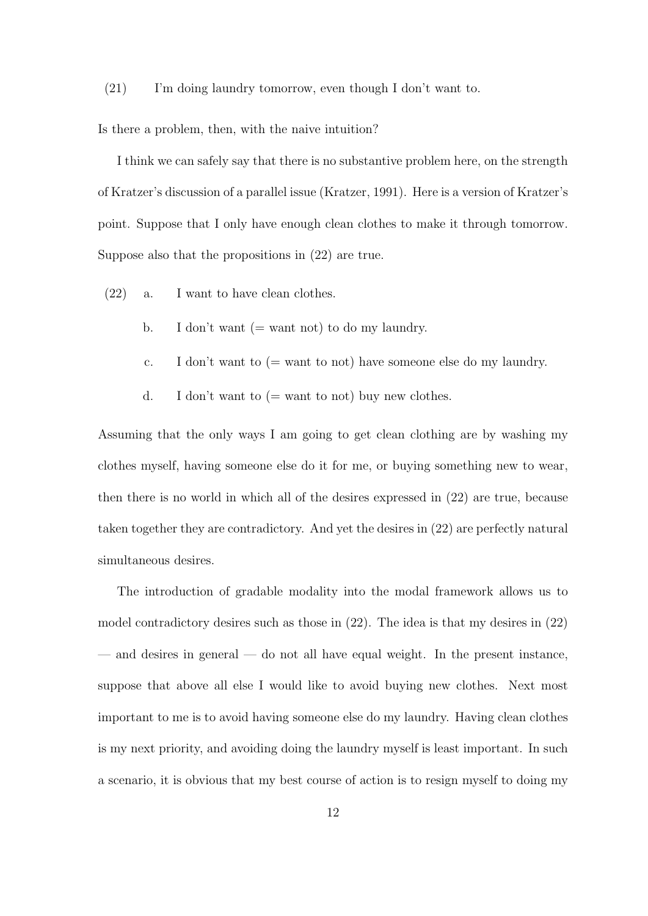(21) I'm doing laundry tomorrow, even though I don't want to.

Is there a problem, then, with the naive intuition?

I think we can safely say that there is no substantive problem here, on the strength of Kratzer's discussion of a parallel issue (Kratzer, 1991). Here is a version of Kratzer's point. Suppose that I only have enough clean clothes to make it through tomorrow. Suppose also that the propositions in (22) are true.

- (22) a. I want to have clean clothes.
	- b. I don't want  $(=$  want not) to do my laundry.
	- c. I don't want to (= want to not) have someone else do my laundry.
	- d. I don't want to  $(=$  want to not) buy new clothes.

Assuming that the only ways I am going to get clean clothing are by washing my clothes myself, having someone else do it for me, or buying something new to wear, then there is no world in which all of the desires expressed in (22) are true, because taken together they are contradictory. And yet the desires in (22) are perfectly natural simultaneous desires.

The introduction of gradable modality into the modal framework allows us to model contradictory desires such as those in (22). The idea is that my desires in (22) — and desires in general — do not all have equal weight. In the present instance, suppose that above all else I would like to avoid buying new clothes. Next most important to me is to avoid having someone else do my laundry. Having clean clothes is my next priority, and avoiding doing the laundry myself is least important. In such a scenario, it is obvious that my best course of action is to resign myself to doing my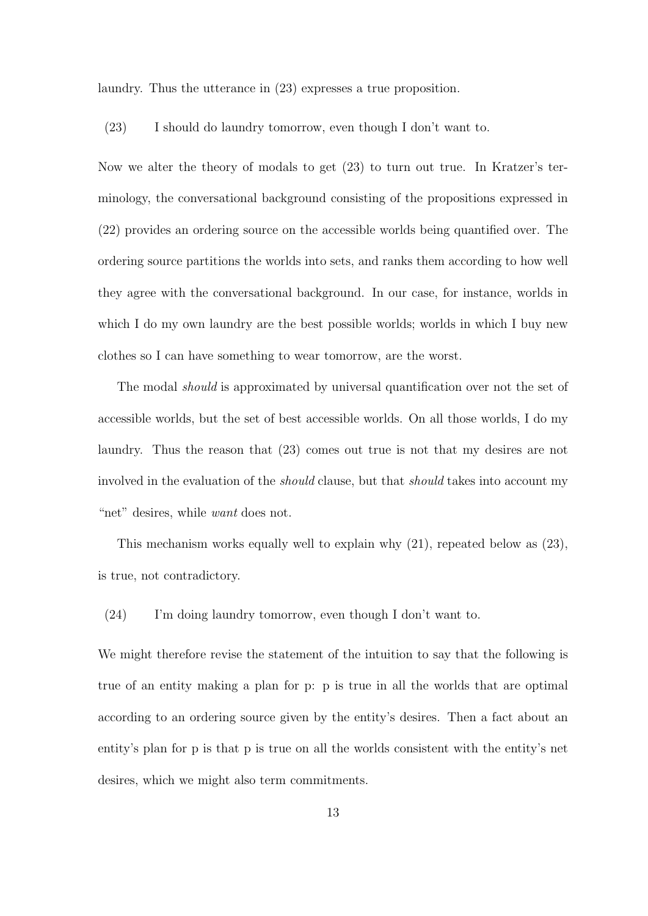laundry. Thus the utterance in (23) expresses a true proposition.

(23) I should do laundry tomorrow, even though I don't want to.

Now we alter the theory of modals to get (23) to turn out true. In Kratzer's terminology, the conversational background consisting of the propositions expressed in (22) provides an ordering source on the accessible worlds being quantified over. The ordering source partitions the worlds into sets, and ranks them according to how well they agree with the conversational background. In our case, for instance, worlds in which I do my own laundry are the best possible worlds; worlds in which I buy new clothes so I can have something to wear tomorrow, are the worst.

The modal *should* is approximated by universal quantification over not the set of accessible worlds, but the set of best accessible worlds. On all those worlds, I do my laundry. Thus the reason that (23) comes out true is not that my desires are not involved in the evaluation of the should clause, but that should takes into account my "net" desires, while *want* does not.

This mechanism works equally well to explain why (21), repeated below as (23), is true, not contradictory.

(24) I'm doing laundry tomorrow, even though I don't want to.

We might therefore revise the statement of the intuition to say that the following is true of an entity making a plan for p: p is true in all the worlds that are optimal according to an ordering source given by the entity's desires. Then a fact about an entity's plan for p is that p is true on all the worlds consistent with the entity's net desires, which we might also term commitments.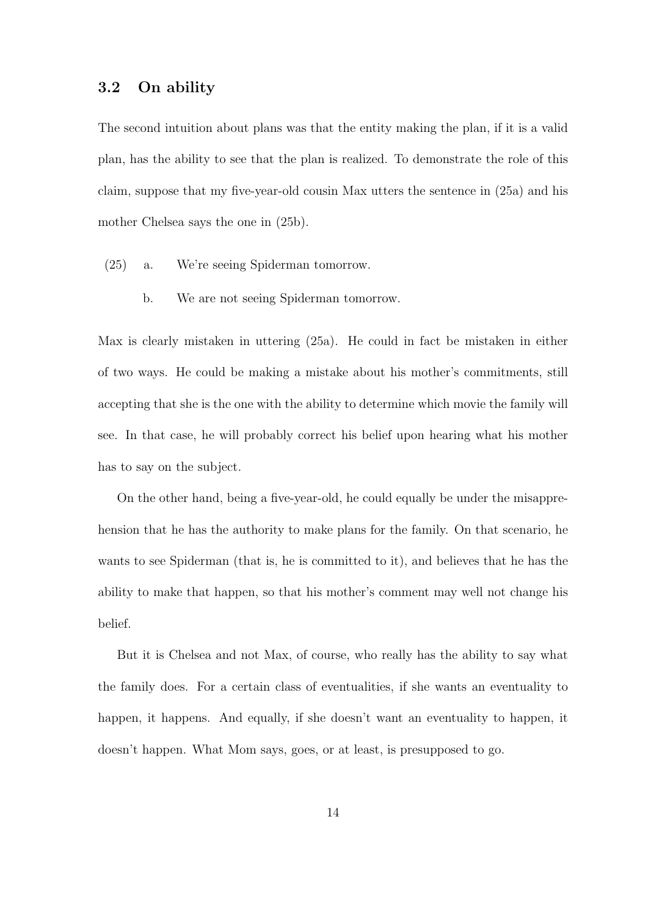#### 3.2 On ability

The second intuition about plans was that the entity making the plan, if it is a valid plan, has the ability to see that the plan is realized. To demonstrate the role of this claim, suppose that my five-year-old cousin Max utters the sentence in (25a) and his mother Chelsea says the one in (25b).

- (25) a. We're seeing Spiderman tomorrow.
	- b. We are not seeing Spiderman tomorrow.

Max is clearly mistaken in uttering (25a). He could in fact be mistaken in either of two ways. He could be making a mistake about his mother's commitments, still accepting that she is the one with the ability to determine which movie the family will see. In that case, he will probably correct his belief upon hearing what his mother has to say on the subject.

On the other hand, being a five-year-old, he could equally be under the misapprehension that he has the authority to make plans for the family. On that scenario, he wants to see Spiderman (that is, he is committed to it), and believes that he has the ability to make that happen, so that his mother's comment may well not change his belief.

But it is Chelsea and not Max, of course, who really has the ability to say what the family does. For a certain class of eventualities, if she wants an eventuality to happen, it happens. And equally, if she doesn't want an eventuality to happen, it doesn't happen. What Mom says, goes, or at least, is presupposed to go.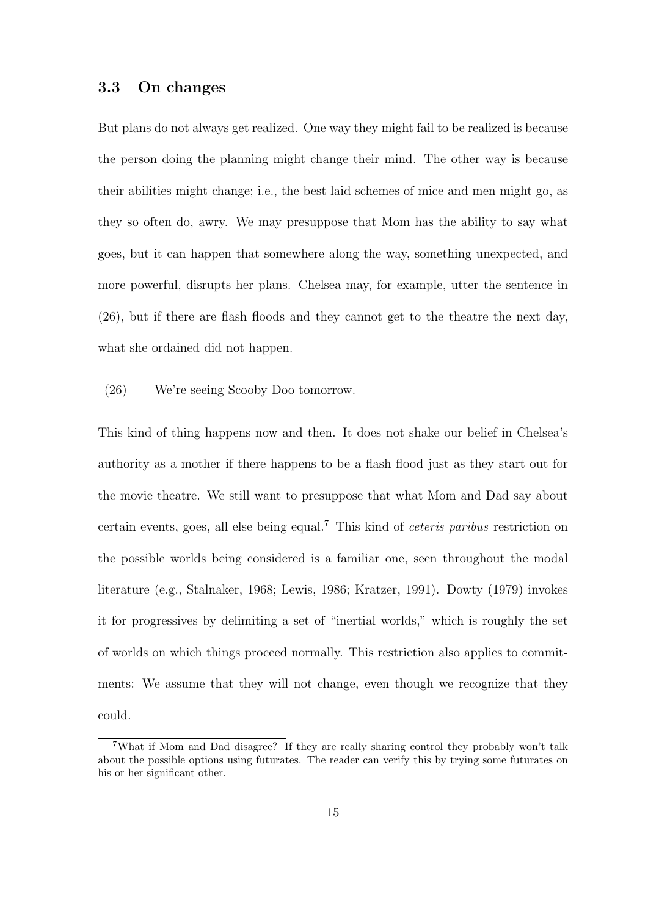### 3.3 On changes

But plans do not always get realized. One way they might fail to be realized is because the person doing the planning might change their mind. The other way is because their abilities might change; i.e., the best laid schemes of mice and men might go, as they so often do, awry. We may presuppose that Mom has the ability to say what goes, but it can happen that somewhere along the way, something unexpected, and more powerful, disrupts her plans. Chelsea may, for example, utter the sentence in (26), but if there are flash floods and they cannot get to the theatre the next day, what she ordained did not happen.

#### (26) We're seeing Scooby Doo tomorrow.

This kind of thing happens now and then. It does not shake our belief in Chelsea's authority as a mother if there happens to be a flash flood just as they start out for the movie theatre. We still want to presuppose that what Mom and Dad say about certain events, goes, all else being equal.<sup>7</sup> This kind of ceteris paribus restriction on the possible worlds being considered is a familiar one, seen throughout the modal literature (e.g., Stalnaker, 1968; Lewis, 1986; Kratzer, 1991). Dowty (1979) invokes it for progressives by delimiting a set of "inertial worlds," which is roughly the set of worlds on which things proceed normally. This restriction also applies to commitments: We assume that they will not change, even though we recognize that they could.

<sup>7</sup>What if Mom and Dad disagree? If they are really sharing control they probably won't talk about the possible options using futurates. The reader can verify this by trying some futurates on his or her significant other.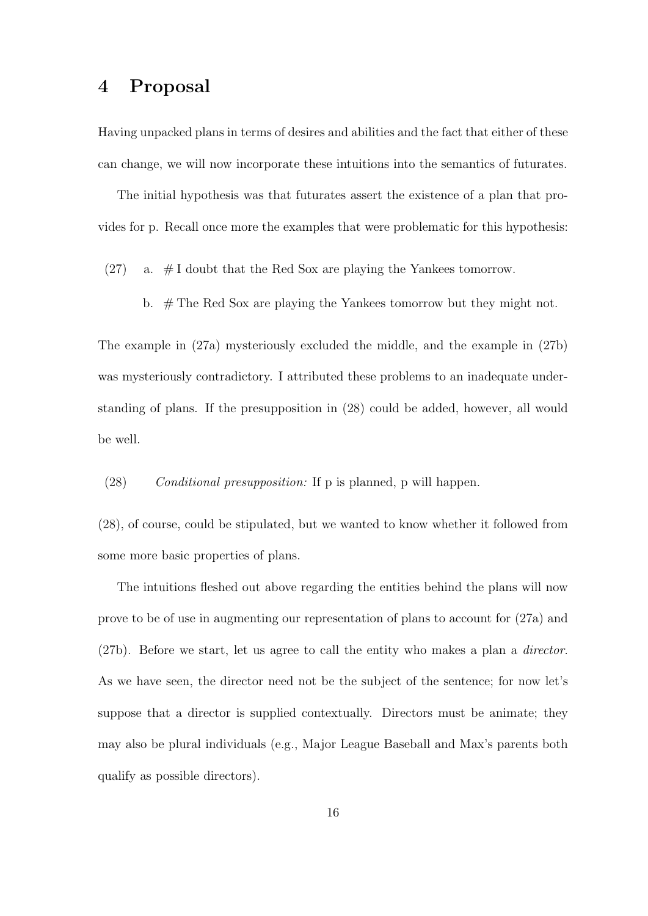### 4 Proposal

Having unpacked plans in terms of desires and abilities and the fact that either of these can change, we will now incorporate these intuitions into the semantics of futurates.

The initial hypothesis was that futurates assert the existence of a plan that provides for p. Recall once more the examples that were problematic for this hypothesis:

- (27) a.  $#$  I doubt that the Red Sox are playing the Yankees tomorrow.
	- b. # The Red Sox are playing the Yankees tomorrow but they might not.

The example in (27a) mysteriously excluded the middle, and the example in (27b) was mysteriously contradictory. I attributed these problems to an inadequate understanding of plans. If the presupposition in (28) could be added, however, all would be well.

(28) Conditional presupposition: If p is planned, p will happen.

(28), of course, could be stipulated, but we wanted to know whether it followed from some more basic properties of plans.

The intuitions fleshed out above regarding the entities behind the plans will now prove to be of use in augmenting our representation of plans to account for (27a) and (27b). Before we start, let us agree to call the entity who makes a plan a director. As we have seen, the director need not be the subject of the sentence; for now let's suppose that a director is supplied contextually. Directors must be animate; they may also be plural individuals (e.g., Major League Baseball and Max's parents both qualify as possible directors).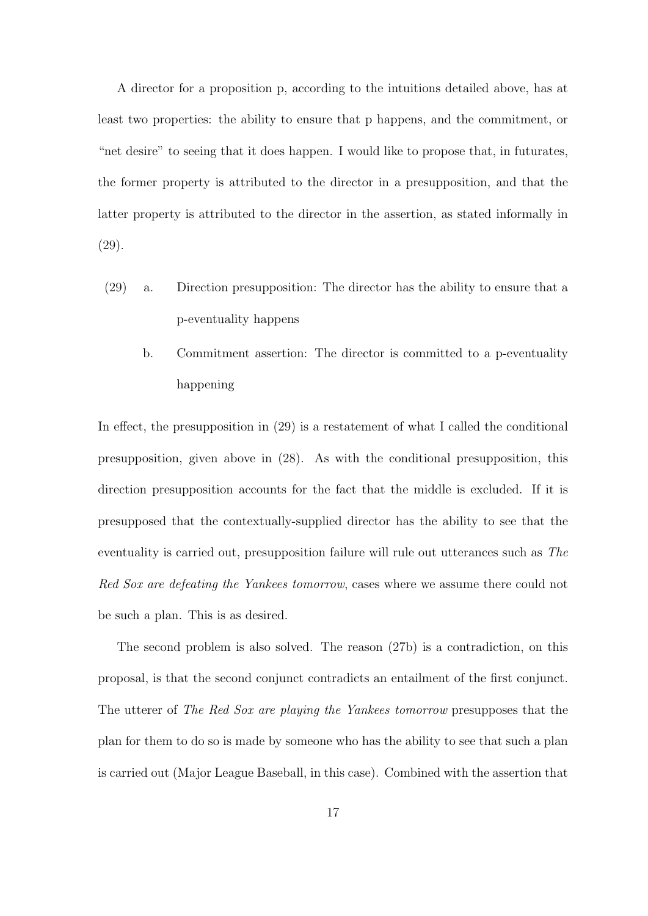A director for a proposition p, according to the intuitions detailed above, has at least two properties: the ability to ensure that p happens, and the commitment, or "net desire" to seeing that it does happen. I would like to propose that, in futurates, the former property is attributed to the director in a presupposition, and that the latter property is attributed to the director in the assertion, as stated informally in (29).

- (29) a. Direction presupposition: The director has the ability to ensure that a p-eventuality happens
	- b. Commitment assertion: The director is committed to a p-eventuality happening

In effect, the presupposition in (29) is a restatement of what I called the conditional presupposition, given above in (28). As with the conditional presupposition, this direction presupposition accounts for the fact that the middle is excluded. If it is presupposed that the contextually-supplied director has the ability to see that the eventuality is carried out, presupposition failure will rule out utterances such as The Red Sox are defeating the Yankees tomorrow, cases where we assume there could not be such a plan. This is as desired.

The second problem is also solved. The reason (27b) is a contradiction, on this proposal, is that the second conjunct contradicts an entailment of the first conjunct. The utterer of The Red Sox are playing the Yankees tomorrow presupposes that the plan for them to do so is made by someone who has the ability to see that such a plan is carried out (Major League Baseball, in this case). Combined with the assertion that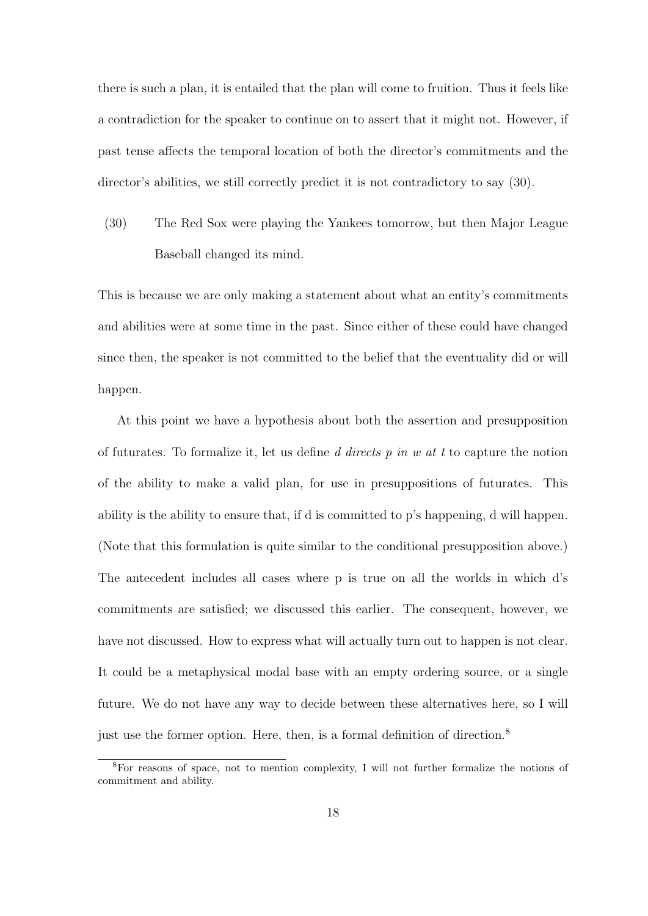there is such a plan, it is entailed that the plan will come to fruition. Thus it feels like a contradiction for the speaker to continue on to assert that it might not. However, if past tense affects the temporal location of both the director's commitments and the director's abilities, we still correctly predict it is not contradictory to say (30).

# (30) The Red Sox were playing the Yankees tomorrow, but then Major League Baseball changed its mind.

This is because we are only making a statement about what an entity's commitments and abilities were at some time in the past. Since either of these could have changed since then, the speaker is not committed to the belief that the eventuality did or will happen.

At this point we have a hypothesis about both the assertion and presupposition of futurates. To formalize it, let us define d directs p in w at t to capture the notion of the ability to make a valid plan, for use in presuppositions of futurates. This ability is the ability to ensure that, if d is committed to p's happening, d will happen. (Note that this formulation is quite similar to the conditional presupposition above.) The antecedent includes all cases where p is true on all the worlds in which d's commitments are satisfied; we discussed this earlier. The consequent, however, we have not discussed. How to express what will actually turn out to happen is not clear. It could be a metaphysical modal base with an empty ordering source, or a single future. We do not have any way to decide between these alternatives here, so I will just use the former option. Here, then, is a formal definition of direction.<sup>8</sup>

<sup>8</sup>For reasons of space, not to mention complexity, I will not further formalize the notions of commitment and ability.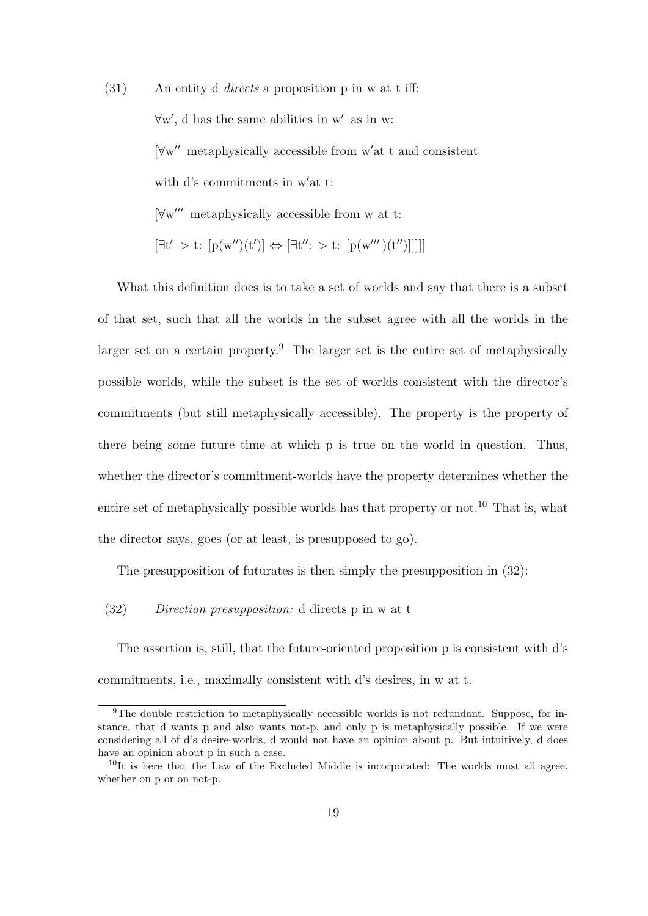$(31)$  An entity d *directs* a proposition p in w at t iff: ∀w', d has the same abilities in w' as in w: [∀w" metaphysically accessible from w'at t and consistent with d's commitments in  $w'$ at t: [∀w <sup>000</sup> metaphysically accessible from w at t:  $[\exists t' > t: [p(w'')(t')] \Leftrightarrow [\exists t'': > t: [p(w''')(t'')]]]]$ 

What this definition does is to take a set of worlds and say that there is a subset of that set, such that all the worlds in the subset agree with all the worlds in the larger set on a certain property.<sup>9</sup> The larger set is the entire set of metaphysically possible worlds, while the subset is the set of worlds consistent with the director's commitments (but still metaphysically accessible). The property is the property of there being some future time at which p is true on the world in question. Thus, whether the director's commitment-worlds have the property determines whether the entire set of metaphysically possible worlds has that property or not.<sup>10</sup> That is, what the director says, goes (or at least, is presupposed to go).

The presupposition of futurates is then simply the presupposition in (32):

#### (32) Direction presupposition: d directs p in w at t

The assertion is, still, that the future-oriented proposition p is consistent with d's commitments, i.e., maximally consistent with d's desires, in w at t.

<sup>9</sup>The double restriction to metaphysically accessible worlds is not redundant. Suppose, for instance, that d wants p and also wants not-p, and only p is metaphysically possible. If we were considering all of d's desire-worlds, d would not have an opinion about p. But intuitively, d does have an opinion about p in such a case.

 $10$ It is here that the Law of the Excluded Middle is incorporated: The worlds must all agree, whether on p or on not-p.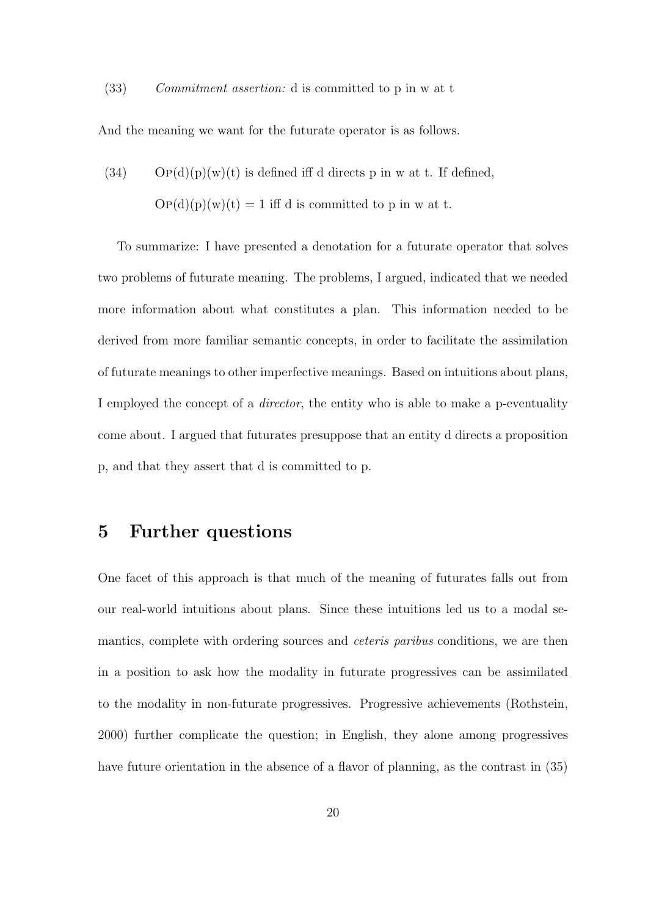#### (33) Commitment assertion: d is committed to p in w at t

And the meaning we want for the futurate operator is as follows.

 $(34)$  Op(d)(p)(w)(t) is defined iff d directs p in w at t. If defined,  $\text{OP}(d)(p)(w)(t) = 1$  iff d is committed to p in w at t.

To summarize: I have presented a denotation for a futurate operator that solves two problems of futurate meaning. The problems, I argued, indicated that we needed more information about what constitutes a plan. This information needed to be derived from more familiar semantic concepts, in order to facilitate the assimilation of futurate meanings to other imperfective meanings. Based on intuitions about plans, I employed the concept of a director, the entity who is able to make a p-eventuality come about. I argued that futurates presuppose that an entity d directs a proposition p, and that they assert that d is committed to p.

## 5 Further questions

One facet of this approach is that much of the meaning of futurates falls out from our real-world intuitions about plans. Since these intuitions led us to a modal semantics, complete with ordering sources and ceteris paribus conditions, we are then in a position to ask how the modality in futurate progressives can be assimilated to the modality in non-futurate progressives. Progressive achievements (Rothstein, 2000) further complicate the question; in English, they alone among progressives have future orientation in the absence of a flavor of planning, as the contrast in  $(35)$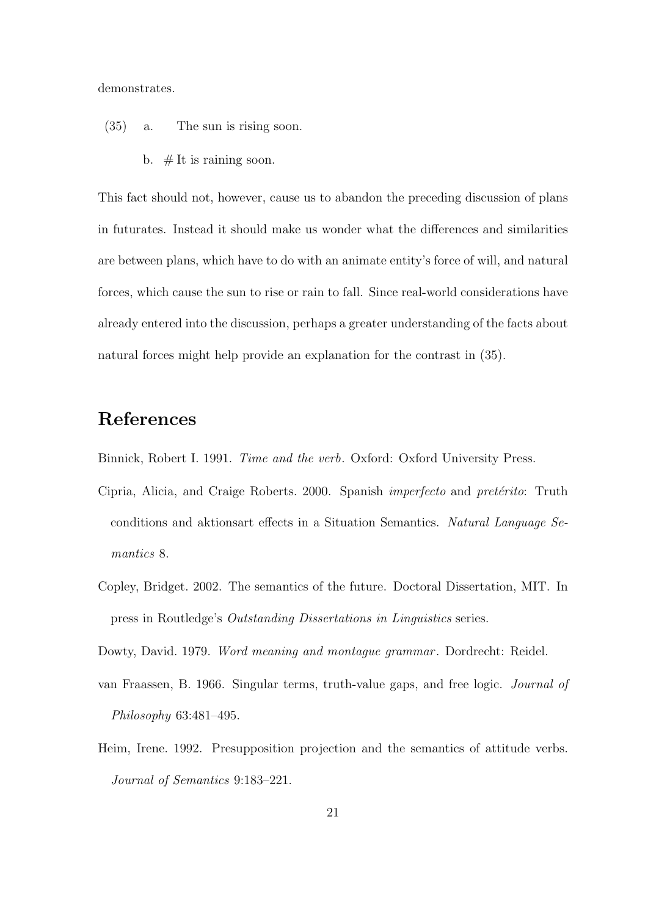demonstrates.

- (35) a. The sun is rising soon.
	- b.  $#$  It is raining soon.

This fact should not, however, cause us to abandon the preceding discussion of plans in futurates. Instead it should make us wonder what the differences and similarities are between plans, which have to do with an animate entity's force of will, and natural forces, which cause the sun to rise or rain to fall. Since real-world considerations have already entered into the discussion, perhaps a greater understanding of the facts about natural forces might help provide an explanation for the contrast in (35).

# References

Binnick, Robert I. 1991. Time and the verb. Oxford: Oxford University Press.

- Cipria, Alicia, and Craige Roberts. 2000. Spanish *imperfecto* and *pretérito*: Truth conditions and aktionsart effects in a Situation Semantics. Natural Language Semantics 8.
- Copley, Bridget. 2002. The semantics of the future. Doctoral Dissertation, MIT. In press in Routledge's Outstanding Dissertations in Linguistics series.

Dowty, David. 1979. *Word meaning and montague grammar*. Dordrecht: Reidel.

- van Fraassen, B. 1966. Singular terms, truth-value gaps, and free logic. Journal of Philosophy 63:481–495.
- Heim, Irene. 1992. Presupposition projection and the semantics of attitude verbs. Journal of Semantics 9:183–221.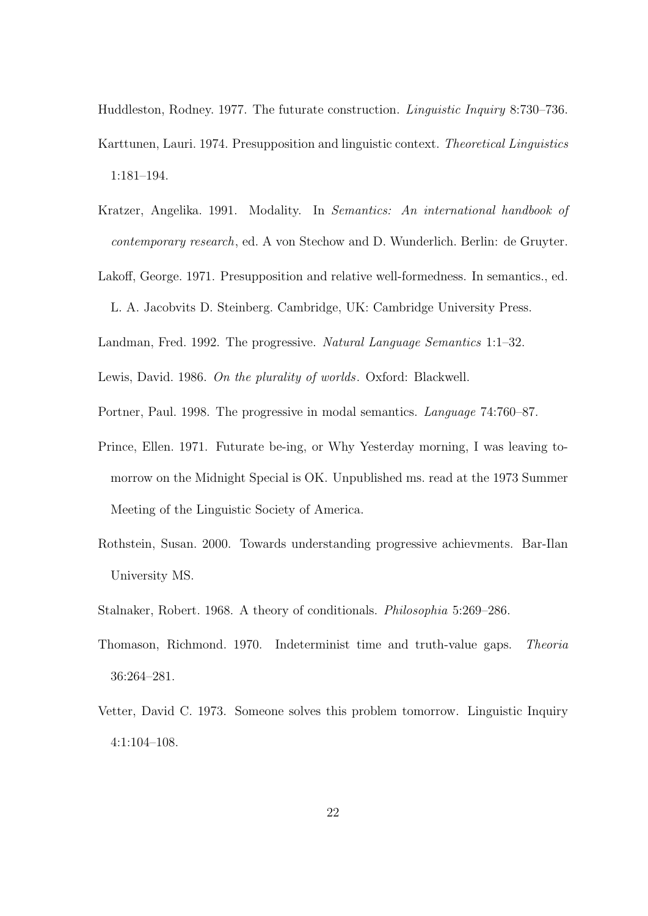Huddleston, Rodney. 1977. The futurate construction. Linguistic Inquiry 8:730–736.

- Karttunen, Lauri. 1974. Presupposition and linguistic context. Theoretical Linguistics 1:181–194.
- Kratzer, Angelika. 1991. Modality. In Semantics: An international handbook of contemporary research, ed. A von Stechow and D. Wunderlich. Berlin: de Gruyter.
- Lakoff, George. 1971. Presupposition and relative well-formedness. In semantics., ed.

L. A. Jacobvits D. Steinberg. Cambridge, UK: Cambridge University Press.

Landman, Fred. 1992. The progressive. Natural Language Semantics 1:1–32.

Lewis, David. 1986. On the plurality of worlds. Oxford: Blackwell.

- Portner, Paul. 1998. The progressive in modal semantics. Language 74:760–87.
- Prince, Ellen. 1971. Futurate be-ing, or Why Yesterday morning, I was leaving tomorrow on the Midnight Special is OK. Unpublished ms. read at the 1973 Summer Meeting of the Linguistic Society of America.
- Rothstein, Susan. 2000. Towards understanding progressive achievments. Bar-Ilan University MS.
- Stalnaker, Robert. 1968. A theory of conditionals. Philosophia 5:269–286.
- Thomason, Richmond. 1970. Indeterminist time and truth-value gaps. Theoria 36:264–281.
- Vetter, David C. 1973. Someone solves this problem tomorrow. Linguistic Inquiry 4:1:104–108.